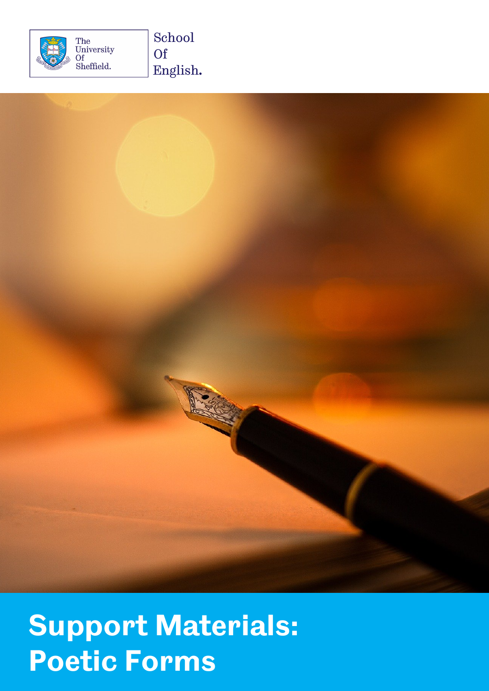



## **Support Materials: Poetic Forms**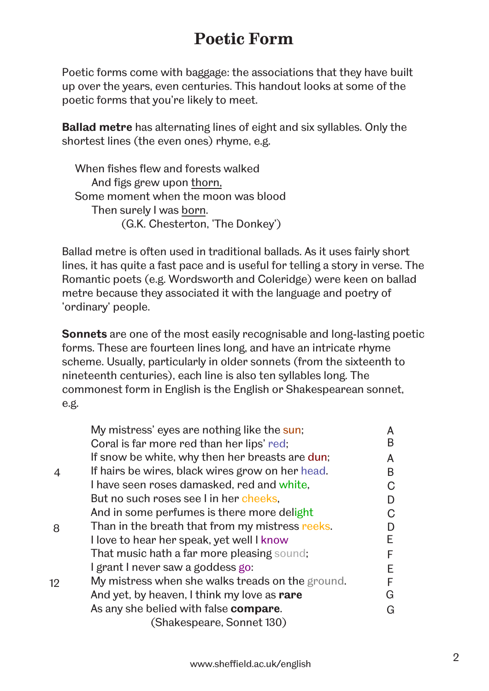## **Poetic Form**

Poetic forms come with baggage: the associations that they have built up over the years, even centuries. This handout looks at some of the poetic forms that you're likely to meet.

**Ballad metre** has alternating lines of eight and six syllables. Only the shortest lines (the even ones) rhyme, e.g.

 When fishes flew and forests walked And figs grew upon thorn, Some moment when the moon was blood Then surely I was born. (G.K. Chesterton, 'The Donkey')

Ballad metre is often used in traditional ballads. As it uses fairly short lines, it has quite a fast pace and is useful for telling a story in verse. The Romantic poets (e.g. Wordsworth and Coleridge) were keen on ballad metre because they associated it with the language and poetry of 'ordinary' people.

**Sonnets** are one of the most easily recognisable and long-lasting poetic forms. These are fourteen lines long, and have an intricate rhyme scheme. Usually, particularly in older sonnets (from the sixteenth to nineteenth centuries), each line is also ten syllables long. The commonest form in English is the English or Shakespearean sonnet, e.g.

|    | My mistress' eyes are nothing like the sun;      |   |
|----|--------------------------------------------------|---|
|    | Coral is far more red than her lips' red;        | B |
|    | If snow be white, why then her breasts are dun;  | A |
|    | If hairs be wires, black wires grow on her head. | B |
|    | I have seen roses damasked, red and white,       |   |
|    | But no such roses see I in her cheeks,           |   |
|    | And in some perfumes is there more delight       |   |
| 8  | Than in the breath that from my mistress reeks.  |   |
|    | I love to hear her speak, yet well I know        | F |
|    | That music hath a far more pleasing sound;       |   |
|    | I grant I never saw a goddess go:                |   |
| 12 | My mistress when she walks treads on the ground. |   |
|    | And yet, by heaven, I think my love as rare      | G |
|    | As any she belied with false compare.            | G |
|    | (Shakespeare, Sonnet 130)                        |   |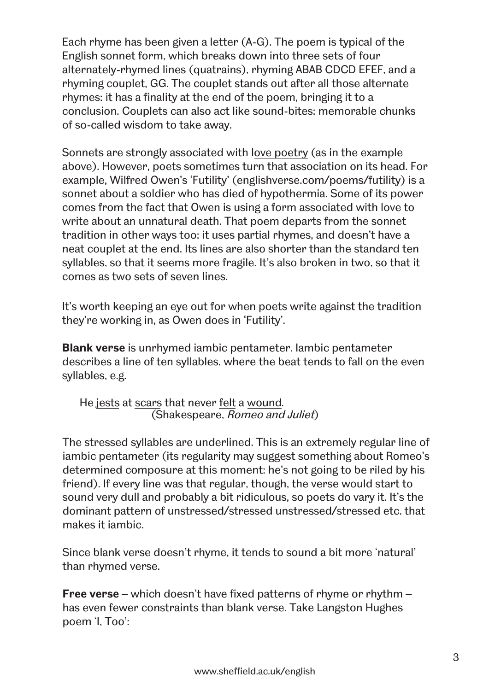Each rhyme has been given a letter (A-G). The poem is typical of the English sonnet form, which breaks down into three sets of four alternately-rhymed lines (quatrains), rhyming ABAB CDCD EFEF, and a rhyming couplet, GG. The couplet stands out after all those alternate rhymes: it has a finality at the end of the poem, bringing it to a conclusion. Couplets can also act like sound-bites: memorable chunks of so-called wisdom to take away.

Sonnets are strongly associated with love poetry (as in the example above). However, poets sometimes turn that association on its head. For example, Wilfred Owen's 'Futility' [\(englishverse.com/poems/futility\)](https://englishverse.com/poems/futility) is a sonnet about a soldier who has died of hypothermia. Some of its power comes from the fact that Owen is using a form associated with love to write about an unnatural death. That poem departs from the sonnet tradition in other ways too: it uses partial rhymes, and doesn't have a neat couplet at the end. Its lines are also shorter than the standard ten syllables, so that it seems more fragile. It's also broken in two, so that it comes as two sets of seven lines.

It's worth keeping an eye out for when poets write against the tradition they're working in, as Owen does in 'Futility'.

**Blank verse** is unrhymed iambic pentameter. Iambic pentameter describes a line of ten syllables, where the beat tends to fall on the even syllables, e.g.

He jests at scars that never felt a wound*.* (Shakespeare, Romeo and Juliet)

The stressed syllables are underlined. This is an extremely regular line of iambic pentameter (its regularity may suggest something about Romeo's determined composure at this moment: he's not going to be riled by his friend). If every line was that regular, though, the verse would start to sound very dull and probably a bit ridiculous, so poets do vary it. It's the dominant pattern of unstressed/stressed unstressed/stressed etc. that makes it iambic.

Since blank verse doesn't rhyme, it tends to sound a bit more 'natural' than rhymed verse.

**Free verse** – which doesn't have fixed patterns of rhyme or rhythm – has even fewer constraints than blank verse. Take Langston Hughes poem 'I, Too':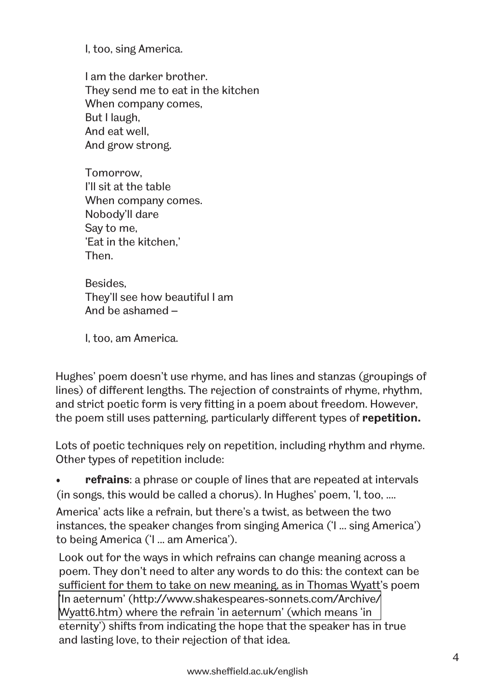I, too, sing America.

I am the darker brother. They send me to eat in the kitchen When company comes, But I laugh, And eat well, And grow strong.

Tomorrow, I'll sit at the table When company comes. Nobody'll dare Say to me, 'Eat in the kitchen,' Then.

Besides, They'll see how beautiful I am And be ashamed –

I, too, am America.

Hughes' poem doesn't use rhyme, and has lines and stanzas (groupings of lines) of different lengths. The rejection of constraints of rhyme, rhythm, and strict poetic form is very fitting in a poem about freedom. However, the poem still uses patterning, particularly different types of **repetition.**

Lots of poetic techniques rely on repetition, including rhythm and rhyme. Other types of repetition include:

• **refrains**: a phrase or couple of lines that are repeated at intervals (in songs, this would be called a chorus). In Hughes' poem, 'I, too, ....

America' acts like a refrain, but there's a twist, as between the two instances, the speaker changes from singing America ('I ... sing America') to being America ('I ... am America').

Look out for the ways in which refrains can change meaning across a poem. They don't need to alter any words to do this: the context can be sufficient for them to take on new meaning, as in Thomas Wyatt's poem 'In [aeternum' \(http://www.shakespeares-sonnets.com/Archive/](http://www.shakespeares-sonnets.com/Archive/Wyatt6.htm) Wyatt6.htm) where the refrain 'in aeternum' (which means 'in eternity') shifts from indicating the hope that the speaker has in true and lasting love, to their rejection of that idea.